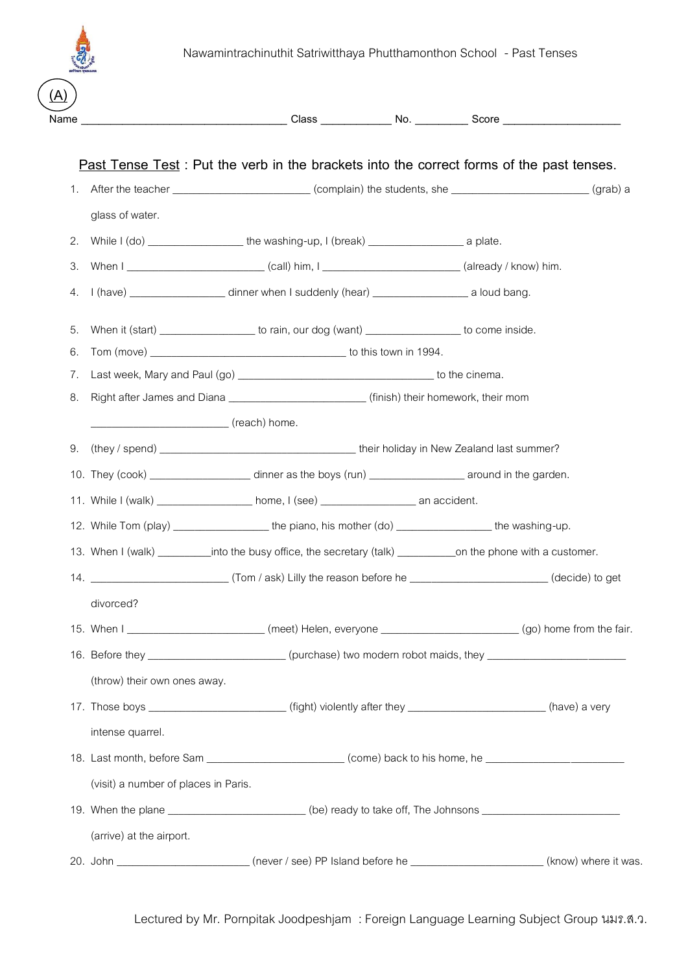

| <u>(A)</u> |                                                                                                                |                                                                                                                       |                                                                                                                   |  |  |  |  |  |
|------------|----------------------------------------------------------------------------------------------------------------|-----------------------------------------------------------------------------------------------------------------------|-------------------------------------------------------------------------------------------------------------------|--|--|--|--|--|
|            |                                                                                                                |                                                                                                                       |                                                                                                                   |  |  |  |  |  |
|            |                                                                                                                | Past Tense Test: Put the verb in the brackets into the correct forms of the past tenses.                              |                                                                                                                   |  |  |  |  |  |
|            | 1. After the teacher (complain) the students, she (grab) a (grab) a                                            |                                                                                                                       |                                                                                                                   |  |  |  |  |  |
|            | glass of water.                                                                                                |                                                                                                                       |                                                                                                                   |  |  |  |  |  |
| 2.         |                                                                                                                |                                                                                                                       |                                                                                                                   |  |  |  |  |  |
| 3.         |                                                                                                                |                                                                                                                       |                                                                                                                   |  |  |  |  |  |
| 4.         |                                                                                                                | I (have) ______________________ dinner when I suddenly (hear) _______________________ a loud bang.                    |                                                                                                                   |  |  |  |  |  |
| 5.         |                                                                                                                | When it (start) ___________________ to rain, our dog (want) __________________ to come inside.                        |                                                                                                                   |  |  |  |  |  |
| 6.         |                                                                                                                |                                                                                                                       |                                                                                                                   |  |  |  |  |  |
| 7.         |                                                                                                                |                                                                                                                       |                                                                                                                   |  |  |  |  |  |
| 8.         | Right after James and Diana ______________________________(finish) their homework, their mom                   |                                                                                                                       |                                                                                                                   |  |  |  |  |  |
|            | reach) home.                                                                                                   |                                                                                                                       |                                                                                                                   |  |  |  |  |  |
|            |                                                                                                                |                                                                                                                       |                                                                                                                   |  |  |  |  |  |
|            |                                                                                                                | 10. They (cook) __________________________ dinner as the boys (run) _______________________ around in the garden.     |                                                                                                                   |  |  |  |  |  |
|            |                                                                                                                | 11. While I (walk) ___________________ home, I (see) ___________________________ an accident.                         |                                                                                                                   |  |  |  |  |  |
|            |                                                                                                                | 12. While Tom (play) ____________________the piano, his mother (do) _________________the washing-up.                  |                                                                                                                   |  |  |  |  |  |
|            |                                                                                                                |                                                                                                                       | 13. When I (walk) ___________into the busy office, the secretary (talk) ____________on the phone with a customer. |  |  |  |  |  |
| 14.        |                                                                                                                | (decide) to get                                                                                                       |                                                                                                                   |  |  |  |  |  |
|            | divorced?                                                                                                      |                                                                                                                       |                                                                                                                   |  |  |  |  |  |
|            |                                                                                                                | 15. When I _____________________________(meet) Helen, everyone ______________________________(go) home from the fair. |                                                                                                                   |  |  |  |  |  |
|            | 16. Before they __________________________(purchase) two modern robot maids, they ________________________     |                                                                                                                       |                                                                                                                   |  |  |  |  |  |
|            | (throw) their own ones away.                                                                                   |                                                                                                                       |                                                                                                                   |  |  |  |  |  |
|            |                                                                                                                | 17. Those boys __________________________(fight) violently after they ______________________(have) a very             |                                                                                                                   |  |  |  |  |  |
|            | intense quarrel.                                                                                               |                                                                                                                       |                                                                                                                   |  |  |  |  |  |
|            | 18. Last month, before Sam _______________________________(come) back to his home, he ________________________ |                                                                                                                       |                                                                                                                   |  |  |  |  |  |
|            | (visit) a number of places in Paris.                                                                           |                                                                                                                       |                                                                                                                   |  |  |  |  |  |
|            | 19. When the plane ___________________________(be) ready to take off, The Johnsons __________________________  |                                                                                                                       |                                                                                                                   |  |  |  |  |  |
|            | (arrive) at the airport.                                                                                       |                                                                                                                       |                                                                                                                   |  |  |  |  |  |
|            |                                                                                                                | 20. John ___________________________(never / see) PP Island before he ________________________(know) where it was.    |                                                                                                                   |  |  |  |  |  |